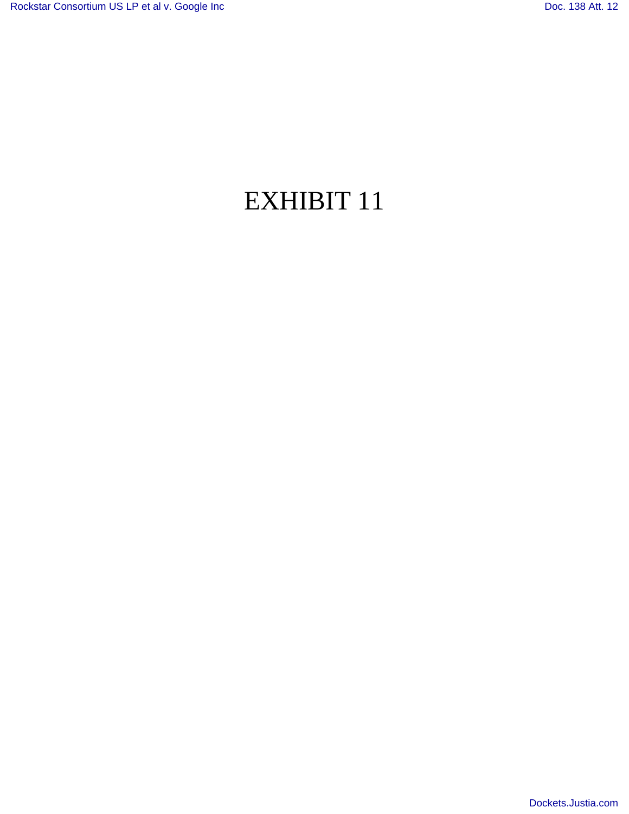## EXHIBIT 11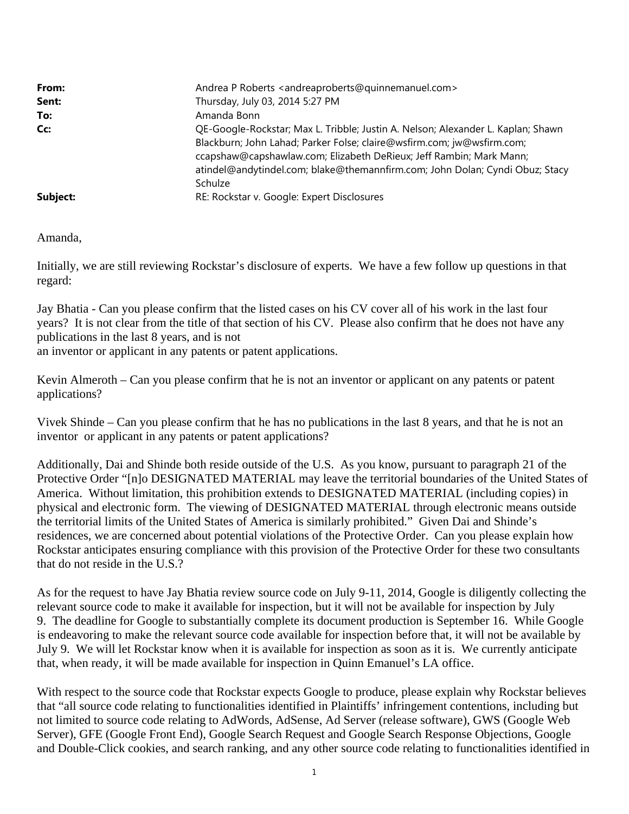| From:<br>Sent:<br>To:<br>Cc: | Andrea P Roberts <andreaproberts@quinnemanuel.com><br/>Thursday, July 03, 2014 5:27 PM<br/>Amanda Bonn<br/>QE-Google-Rockstar; Max L. Tribble; Justin A. Nelson; Alexander L. Kaplan; Shawn<br/>Blackburn; John Lahad; Parker Folse; claire@wsfirm.com; jw@wsfirm.com;<br/>ccapshaw@capshawlaw.com; Elizabeth DeRieux; Jeff Rambin; Mark Mann;<br/>atindel@andytindel.com; blake@themannfirm.com; John Dolan; Cyndi Obuz; Stacy<br/>Schulze</andreaproberts@quinnemanuel.com> |
|------------------------------|-------------------------------------------------------------------------------------------------------------------------------------------------------------------------------------------------------------------------------------------------------------------------------------------------------------------------------------------------------------------------------------------------------------------------------------------------------------------------------|
| Subject:                     | RE: Rockstar v. Google: Expert Disclosures                                                                                                                                                                                                                                                                                                                                                                                                                                    |

Amanda,

Initially, we are still reviewing Rockstar's disclosure of experts. We have a few follow up questions in that regard:

Jay Bhatia - Can you please confirm that the listed cases on his CV cover all of his work in the last four years? It is not clear from the title of that section of his CV. Please also confirm that he does not have any publications in the last 8 years, and is not

an inventor or applicant in any patents or patent applications.

Kevin Almeroth – Can you please confirm that he is not an inventor or applicant on any patents or patent applications?

Vivek Shinde – Can you please confirm that he has no publications in the last 8 years, and that he is not an inventor or applicant in any patents or patent applications?

Additionally, Dai and Shinde both reside outside of the U.S. As you know, pursuant to paragraph 21 of the Protective Order "[n]o DESIGNATED MATERIAL may leave the territorial boundaries of the United States of America. Without limitation, this prohibition extends to DESIGNATED MATERIAL (including copies) in physical and electronic form. The viewing of DESIGNATED MATERIAL through electronic means outside the territorial limits of the United States of America is similarly prohibited." Given Dai and Shinde's residences, we are concerned about potential violations of the Protective Order. Can you please explain how Rockstar anticipates ensuring compliance with this provision of the Protective Order for these two consultants that do not reside in the U.S.?

As for the request to have Jay Bhatia review source code on July 9-11, 2014, Google is diligently collecting the relevant source code to make it available for inspection, but it will not be available for inspection by July 9. The deadline for Google to substantially complete its document production is September 16. While Google is endeavoring to make the relevant source code available for inspection before that, it will not be available by July 9. We will let Rockstar know when it is available for inspection as soon as it is. We currently anticipate that, when ready, it will be made available for inspection in Quinn Emanuel's LA office.

With respect to the source code that Rockstar expects Google to produce, please explain why Rockstar believes that "all source code relating to functionalities identified in Plaintiffs' infringement contentions, including but not limited to source code relating to AdWords, AdSense, Ad Server (release software), GWS (Google Web Server), GFE (Google Front End), Google Search Request and Google Search Response Objections, Google and Double-Click cookies, and search ranking, and any other source code relating to functionalities identified in